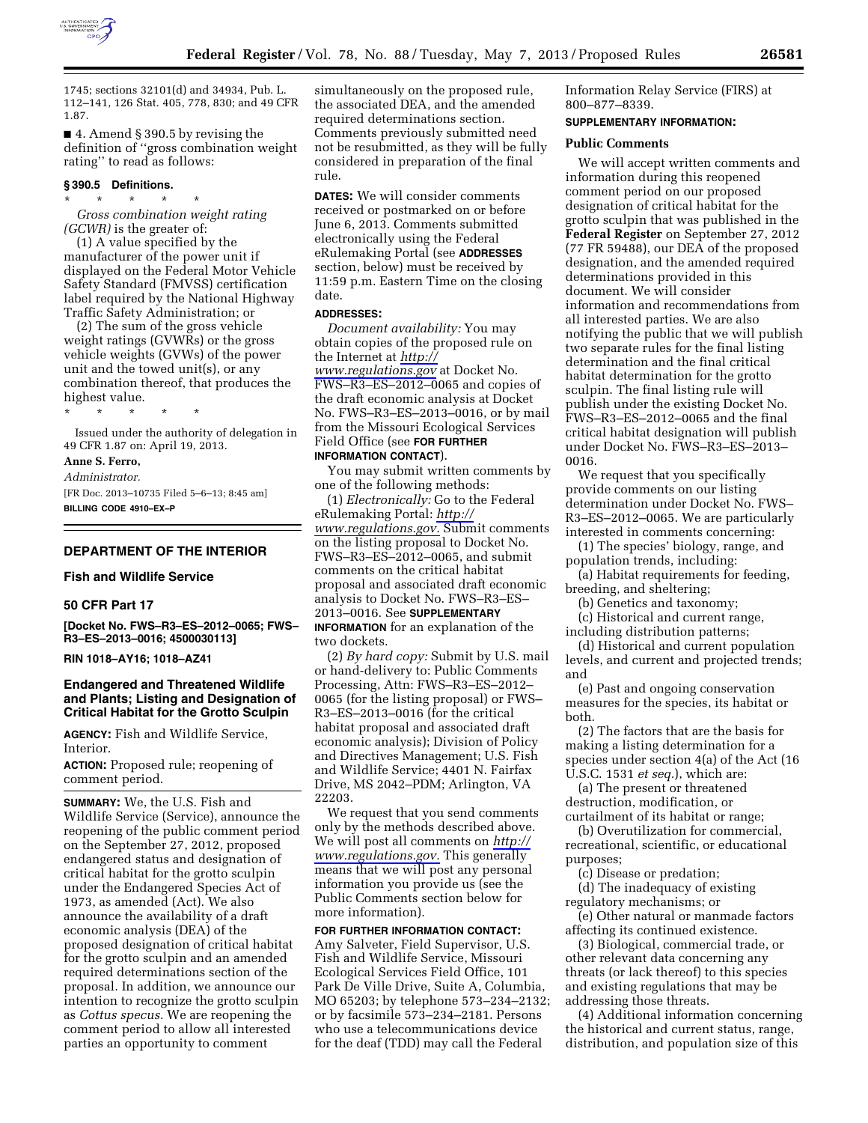

1745; sections 32101(d) and 34934, Pub. L. 112–141, 126 Stat. 405, 778, 830; and 49 CFR 1.87.

■ 4. Amend § 390.5 by revising the definition of ''gross combination weight rating'' to read as follows:

### **§ 390.5 Definitions.**

\* \* \* \* \*

*Gross combination weight rating (GCWR)* is the greater of:

(1) A value specified by the manufacturer of the power unit if displayed on the Federal Motor Vehicle Safety Standard (FMVSS) certification label required by the National Highway Traffic Safety Administration; or

(2) The sum of the gross vehicle weight ratings (GVWRs) or the gross vehicle weights (GVWs) of the power unit and the towed unit(s), or any combination thereof, that produces the highest value.

\* \* \* \* \* Issued under the authority of delegation in

49 CFR 1.87 on: April 19, 2013. **Anne S. Ferro,** 

*Administrator.* 

[FR Doc. 2013–10735 Filed 5–6–13; 8:45 am] **BILLING CODE 4910–EX–P** 

## **DEPARTMENT OF THE INTERIOR**

## **Fish and Wildlife Service**

### **50 CFR Part 17**

**[Docket No. FWS–R3–ES–2012–0065; FWS– R3–ES–2013–0016; 4500030113]** 

**RIN 1018–AY16; 1018–AZ41** 

## **Endangered and Threatened Wildlife and Plants; Listing and Designation of Critical Habitat for the Grotto Sculpin**

**AGENCY:** Fish and Wildlife Service, Interior.

**ACTION:** Proposed rule; reopening of comment period.

**SUMMARY:** We, the U.S. Fish and Wildlife Service (Service), announce the reopening of the public comment period on the September 27, 2012, proposed endangered status and designation of critical habitat for the grotto sculpin under the Endangered Species Act of 1973, as amended (Act). We also announce the availability of a draft economic analysis (DEA) of the proposed designation of critical habitat for the grotto sculpin and an amended required determinations section of the proposal. In addition, we announce our intention to recognize the grotto sculpin as *Cottus specus.* We are reopening the comment period to allow all interested parties an opportunity to comment

simultaneously on the proposed rule, the associated DEA, and the amended required determinations section. Comments previously submitted need not be resubmitted, as they will be fully considered in preparation of the final rule.

**DATES:** We will consider comments received or postmarked on or before June 6, 2013. Comments submitted electronically using the Federal eRulemaking Portal (see **ADDRESSES** section, below) must be received by 11:59 p.m. Eastern Time on the closing date.

### **ADDRESSES:**

*Document availability:* You may obtain copies of the proposed rule on the Internet at *[http://](http://www.regulations.gov)  [www.regulations.gov](http://www.regulations.gov)* at Docket No. FWS–R3–ES–2012–0065 and copies of the draft economic analysis at Docket No. FWS–R3–ES–2013–0016, or by mail from the Missouri Ecological Services Field Office (see **FOR FURTHER**

# **INFORMATION CONTACT**).

You may submit written comments by one of the following methods:

(1) *Electronically:* Go to the Federal eRulemaking Portal: *[http://](http://www.regulations.gov) [www.regulations.gov.](http://www.regulations.gov)* Submit comments on the listing proposal to Docket No. FWS–R3–ES–2012–0065, and submit comments on the critical habitat proposal and associated draft economic analysis to Docket No. FWS–R3–ES– 2013–0016. See **SUPPLEMENTARY**

**INFORMATION** for an explanation of the two dockets.

(2) *By hard copy:* Submit by U.S. mail or hand-delivery to: Public Comments Processing, Attn: FWS–R3–ES–2012– 0065 (for the listing proposal) or FWS– R3–ES–2013–0016 (for the critical habitat proposal and associated draft economic analysis); Division of Policy and Directives Management; U.S. Fish and Wildlife Service; 4401 N. Fairfax Drive, MS 2042–PDM; Arlington, VA 22203.

We request that you send comments only by the methods described above. We will post all comments on *[http://](http://www.regulations.gov) [www.regulations.gov.](http://www.regulations.gov)* This generally means that we will post any personal information you provide us (see the Public Comments section below for more information).

**FOR FURTHER INFORMATION CONTACT:**  Amy Salveter, Field Supervisor, U.S. Fish and Wildlife Service, Missouri Ecological Services Field Office, 101 Park De Ville Drive, Suite A, Columbia, MO 65203; by telephone 573–234–2132; or by facsimile 573–234–2181. Persons who use a telecommunications device for the deaf (TDD) may call the Federal

Information Relay Service (FIRS) at 800–877–8339.

## **SUPPLEMENTARY INFORMATION:**

#### **Public Comments**

We will accept written comments and information during this reopened comment period on our proposed designation of critical habitat for the grotto sculpin that was published in the **Federal Register** on September 27, 2012 (77 FR 59488), our DEA of the proposed designation, and the amended required determinations provided in this document. We will consider information and recommendations from all interested parties. We are also notifying the public that we will publish two separate rules for the final listing determination and the final critical habitat determination for the grotto sculpin. The final listing rule will publish under the existing Docket No. FWS–R3–ES–2012–0065 and the final critical habitat designation will publish under Docket No. FWS–R3–ES–2013– 0016.

We request that you specifically provide comments on our listing determination under Docket No. FWS– R3–ES–2012–0065. We are particularly interested in comments concerning:

(1) The species' biology, range, and population trends, including:

(a) Habitat requirements for feeding, breeding, and sheltering;

(b) Genetics and taxonomy;

(c) Historical and current range,

including distribution patterns; (d) Historical and current population levels, and current and projected trends; and

(e) Past and ongoing conservation measures for the species, its habitat or both.

(2) The factors that are the basis for making a listing determination for a species under section 4(a) of the Act (16 U.S.C. 1531 *et seq.*), which are:

(a) The present or threatened destruction, modification, or curtailment of its habitat or range;

(b) Overutilization for commercial, recreational, scientific, or educational purposes;

(c) Disease or predation;

(d) The inadequacy of existing regulatory mechanisms; or

(e) Other natural or manmade factors affecting its continued existence.

(3) Biological, commercial trade, or other relevant data concerning any threats (or lack thereof) to this species and existing regulations that may be addressing those threats.

(4) Additional information concerning the historical and current status, range, distribution, and population size of this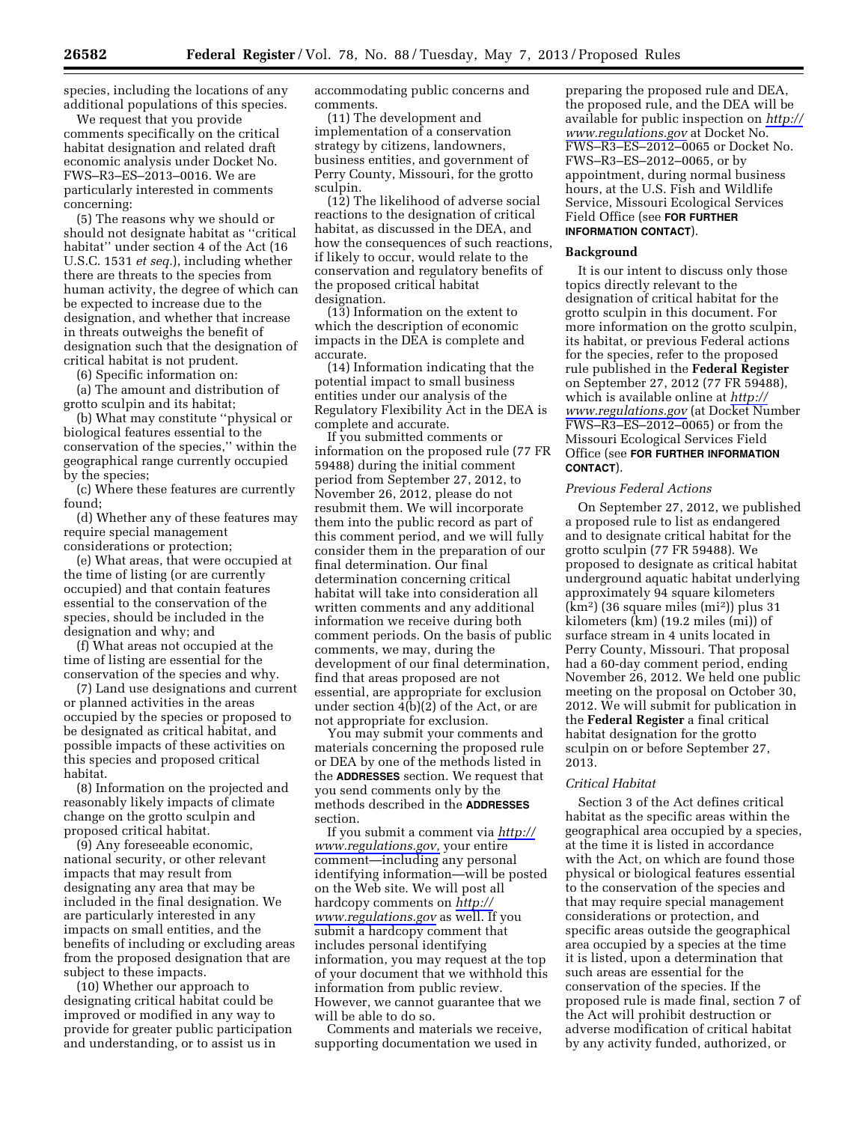species, including the locations of any additional populations of this species.

We request that you provide comments specifically on the critical habitat designation and related draft economic analysis under Docket No. FWS–R3–ES–2013–0016. We are particularly interested in comments concerning:

(5) The reasons why we should or should not designate habitat as ''critical habitat'' under section 4 of the Act (16 U.S.C. 1531 *et seq.*), including whether there are threats to the species from human activity, the degree of which can be expected to increase due to the designation, and whether that increase in threats outweighs the benefit of designation such that the designation of critical habitat is not prudent.

(6) Specific information on:

(a) The amount and distribution of grotto sculpin and its habitat;

(b) What may constitute ''physical or biological features essential to the conservation of the species,'' within the geographical range currently occupied by the species;

(c) Where these features are currently found;

(d) Whether any of these features may require special management considerations or protection;

(e) What areas, that were occupied at the time of listing (or are currently occupied) and that contain features essential to the conservation of the species, should be included in the designation and why; and

(f) What areas not occupied at the time of listing are essential for the conservation of the species and why.

(7) Land use designations and current or planned activities in the areas occupied by the species or proposed to be designated as critical habitat, and possible impacts of these activities on this species and proposed critical habitat.

(8) Information on the projected and reasonably likely impacts of climate change on the grotto sculpin and proposed critical habitat.

(9) Any foreseeable economic, national security, or other relevant impacts that may result from designating any area that may be included in the final designation. We are particularly interested in any impacts on small entities, and the benefits of including or excluding areas from the proposed designation that are subject to these impacts.

(10) Whether our approach to designating critical habitat could be improved or modified in any way to provide for greater public participation and understanding, or to assist us in

accommodating public concerns and comments.

(11) The development and implementation of a conservation strategy by citizens, landowners, business entities, and government of Perry County, Missouri, for the grotto sculpin.

(12) The likelihood of adverse social reactions to the designation of critical habitat, as discussed in the DEA, and how the consequences of such reactions, if likely to occur, would relate to the conservation and regulatory benefits of the proposed critical habitat designation.

(13) Information on the extent to which the description of economic impacts in the DEA is complete and accurate.

(14) Information indicating that the potential impact to small business entities under our analysis of the Regulatory Flexibility Act in the DEA is complete and accurate.

If you submitted comments or information on the proposed rule (77 FR 59488) during the initial comment period from September 27, 2012, to November 26, 2012, please do not resubmit them. We will incorporate them into the public record as part of this comment period, and we will fully consider them in the preparation of our final determination. Our final determination concerning critical habitat will take into consideration all written comments and any additional information we receive during both comment periods. On the basis of public comments, we may, during the development of our final determination, find that areas proposed are not essential, are appropriate for exclusion under section 4(b)(2) of the Act, or are not appropriate for exclusion.

You may submit your comments and materials concerning the proposed rule or DEA by one of the methods listed in the **ADDRESSES** section. We request that you send comments only by the methods described in the **ADDRESSES** section.

If you submit a comment via *[http://](http://www.regulations.gov)  [www.regulations.gov,](http://www.regulations.gov)* your entire comment—including any personal identifying information—will be posted on the Web site. We will post all hardcopy comments on *[http://](http://www.regulations.gov)  [www.regulations.gov](http://www.regulations.gov)* as well. If you submit a hardcopy comment that includes personal identifying information, you may request at the top of your document that we withhold this information from public review. However, we cannot guarantee that we will be able to do so.

Comments and materials we receive, supporting documentation we used in

preparing the proposed rule and DEA, the proposed rule, and the DEA will be available for public inspection on *[http://](http://www.regulations.gov)  [www.regulations.gov](http://www.regulations.gov)* at Docket No. FWS–R3–ES–2012–0065 or Docket No. FWS–R3–ES–2012–0065, or by appointment, during normal business hours, at the U.S. Fish and Wildlife Service, Missouri Ecological Services Field Office (see **FOR FURTHER INFORMATION CONTACT**).

#### **Background**

It is our intent to discuss only those topics directly relevant to the designation of critical habitat for the grotto sculpin in this document. For more information on the grotto sculpin, its habitat, or previous Federal actions for the species, refer to the proposed rule published in the **Federal Register**  on September 27, 2012 (77 FR 59488), which is available online at *[http://](http://www.regulations.gov)  [www.regulations.gov](http://www.regulations.gov)* (at Docket Number FWS–R3–ES–2012–0065) or from the Missouri Ecological Services Field Office (see **FOR FURTHER INFORMATION CONTACT**).

## *Previous Federal Actions*

On September 27, 2012, we published a proposed rule to list as endangered and to designate critical habitat for the grotto sculpin (77 FR 59488). We proposed to designate as critical habitat underground aquatic habitat underlying approximately 94 square kilometers (km2) (36 square miles (mi2)) plus 31 kilometers (km) (19.2 miles (mi)) of surface stream in 4 units located in Perry County, Missouri. That proposal had a 60-day comment period, ending November 26, 2012. We held one public meeting on the proposal on October 30, 2012. We will submit for publication in the **Federal Register** a final critical habitat designation for the grotto sculpin on or before September 27, 2013.

## *Critical Habitat*

Section 3 of the Act defines critical habitat as the specific areas within the geographical area occupied by a species, at the time it is listed in accordance with the Act, on which are found those physical or biological features essential to the conservation of the species and that may require special management considerations or protection, and specific areas outside the geographical area occupied by a species at the time it is listed, upon a determination that such areas are essential for the conservation of the species. If the proposed rule is made final, section 7 of the Act will prohibit destruction or adverse modification of critical habitat by any activity funded, authorized, or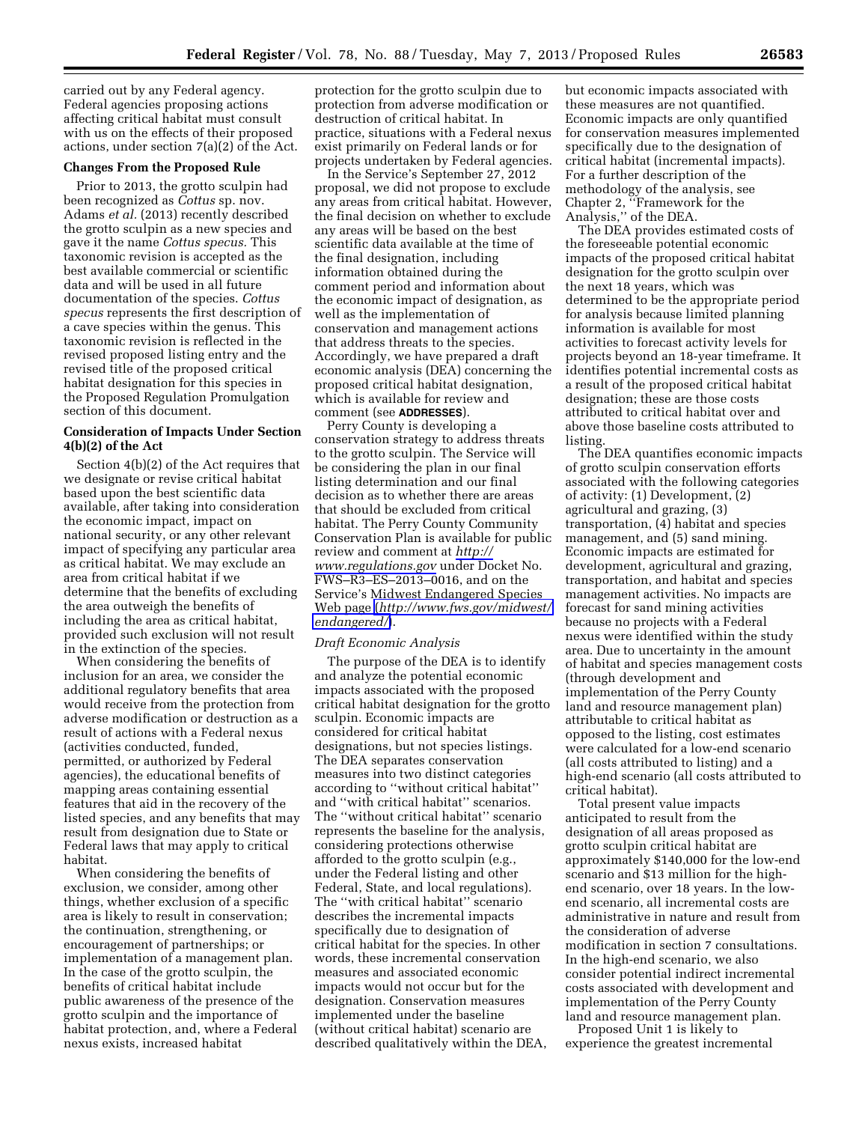carried out by any Federal agency. Federal agencies proposing actions affecting critical habitat must consult with us on the effects of their proposed actions, under section 7(a)(2) of the Act.

## **Changes From the Proposed Rule**

Prior to 2013, the grotto sculpin had been recognized as *Cottus* sp. nov. Adams *et al.* (2013) recently described the grotto sculpin as a new species and gave it the name *Cottus specus.* This taxonomic revision is accepted as the best available commercial or scientific data and will be used in all future documentation of the species. *Cottus specus* represents the first description of a cave species within the genus. This taxonomic revision is reflected in the revised proposed listing entry and the revised title of the proposed critical habitat designation for this species in the Proposed Regulation Promulgation section of this document.

## **Consideration of Impacts Under Section 4(b)(2) of the Act**

Section 4(b)(2) of the Act requires that we designate or revise critical habitat based upon the best scientific data available, after taking into consideration the economic impact, impact on national security, or any other relevant impact of specifying any particular area as critical habitat. We may exclude an area from critical habitat if we determine that the benefits of excluding the area outweigh the benefits of including the area as critical habitat, provided such exclusion will not result in the extinction of the species.

When considering the benefits of inclusion for an area, we consider the additional regulatory benefits that area would receive from the protection from adverse modification or destruction as a result of actions with a Federal nexus (activities conducted, funded, permitted, or authorized by Federal agencies), the educational benefits of mapping areas containing essential features that aid in the recovery of the listed species, and any benefits that may result from designation due to State or Federal laws that may apply to critical habitat.

When considering the benefits of exclusion, we consider, among other things, whether exclusion of a specific area is likely to result in conservation; the continuation, strengthening, or encouragement of partnerships; or implementation of a management plan. In the case of the grotto sculpin, the benefits of critical habitat include public awareness of the presence of the grotto sculpin and the importance of habitat protection, and, where a Federal nexus exists, increased habitat

protection for the grotto sculpin due to protection from adverse modification or destruction of critical habitat. In practice, situations with a Federal nexus exist primarily on Federal lands or for projects undertaken by Federal agencies.

In the Service's September 27, 2012 proposal, we did not propose to exclude any areas from critical habitat. However, the final decision on whether to exclude any areas will be based on the best scientific data available at the time of the final designation, including information obtained during the comment period and information about the economic impact of designation, as well as the implementation of conservation and management actions that address threats to the species. Accordingly, we have prepared a draft economic analysis (DEA) concerning the proposed critical habitat designation, which is available for review and comment (see **ADDRESSES**).

Perry County is developing a conservation strategy to address threats to the grotto sculpin. The Service will be considering the plan in our final listing determination and our final decision as to whether there are areas that should be excluded from critical habitat. The Perry County Community Conservation Plan is available for public review and comment at *[http://](http://www.regulations.gov)  [www.regulations.gov](http://www.regulations.gov)* under Docket No. FWS–R3–ES–2013–0016, and on the Service's Midwest Endangered Species Web page (*[http://www.fws.gov/midwest/](http://www.fws.gov/midwest/endangered/)  [endangered/](http://www.fws.gov/midwest/endangered/)*).

#### *Draft Economic Analysis*

The purpose of the DEA is to identify and analyze the potential economic impacts associated with the proposed critical habitat designation for the grotto sculpin. Economic impacts are considered for critical habitat designations, but not species listings. The DEA separates conservation measures into two distinct categories according to ''without critical habitat'' and ''with critical habitat'' scenarios. The ''without critical habitat'' scenario represents the baseline for the analysis, considering protections otherwise afforded to the grotto sculpin (e.g., under the Federal listing and other Federal, State, and local regulations). The ''with critical habitat'' scenario describes the incremental impacts specifically due to designation of critical habitat for the species. In other words, these incremental conservation measures and associated economic impacts would not occur but for the designation. Conservation measures implemented under the baseline (without critical habitat) scenario are described qualitatively within the DEA,

but economic impacts associated with these measures are not quantified. Economic impacts are only quantified for conservation measures implemented specifically due to the designation of critical habitat (incremental impacts). For a further description of the methodology of the analysis, see Chapter 2, ''Framework for the Analysis,'' of the DEA.

The DEA provides estimated costs of the foreseeable potential economic impacts of the proposed critical habitat designation for the grotto sculpin over the next 18 years, which was determined to be the appropriate period for analysis because limited planning information is available for most activities to forecast activity levels for projects beyond an 18-year timeframe. It identifies potential incremental costs as a result of the proposed critical habitat designation; these are those costs attributed to critical habitat over and above those baseline costs attributed to listing.

The DEA quantifies economic impacts of grotto sculpin conservation efforts associated with the following categories of activity: (1) Development, (2) agricultural and grazing, (3) transportation, (4) habitat and species management, and (5) sand mining. Economic impacts are estimated for development, agricultural and grazing, transportation, and habitat and species management activities. No impacts are forecast for sand mining activities because no projects with a Federal nexus were identified within the study area. Due to uncertainty in the amount of habitat and species management costs (through development and implementation of the Perry County land and resource management plan) attributable to critical habitat as opposed to the listing, cost estimates were calculated for a low-end scenario (all costs attributed to listing) and a high-end scenario (all costs attributed to critical habitat).

Total present value impacts anticipated to result from the designation of all areas proposed as grotto sculpin critical habitat are approximately \$140,000 for the low-end scenario and \$13 million for the highend scenario, over 18 years. In the lowend scenario, all incremental costs are administrative in nature and result from the consideration of adverse modification in section 7 consultations. In the high-end scenario, we also consider potential indirect incremental costs associated with development and implementation of the Perry County land and resource management plan.

Proposed Unit 1 is likely to experience the greatest incremental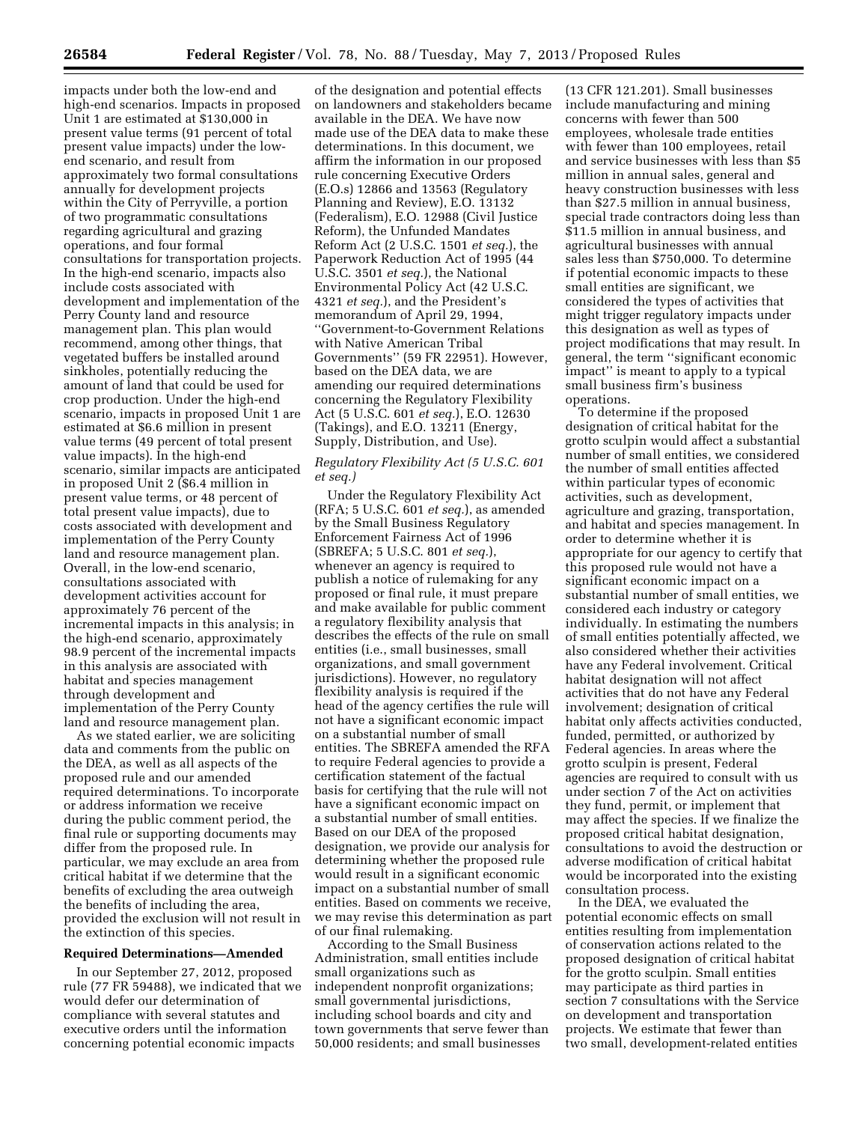impacts under both the low-end and high-end scenarios. Impacts in proposed Unit 1 are estimated at \$130,000 in present value terms (91 percent of total present value impacts) under the lowend scenario, and result from approximately two formal consultations annually for development projects within the City of Perryville, a portion of two programmatic consultations regarding agricultural and grazing operations, and four formal consultations for transportation projects. In the high-end scenario, impacts also include costs associated with development and implementation of the Perry County land and resource management plan. This plan would recommend, among other things, that vegetated buffers be installed around sinkholes, potentially reducing the amount of land that could be used for crop production. Under the high-end scenario, impacts in proposed Unit 1 are estimated at \$6.6 million in present value terms (49 percent of total present value impacts). In the high-end scenario, similar impacts are anticipated in proposed Unit 2 (\$6.4 million in present value terms, or 48 percent of total present value impacts), due to costs associated with development and implementation of the Perry County land and resource management plan. Overall, in the low-end scenario, consultations associated with development activities account for approximately 76 percent of the incremental impacts in this analysis; in the high-end scenario, approximately 98.9 percent of the incremental impacts in this analysis are associated with habitat and species management through development and implementation of the Perry County land and resource management plan.

As we stated earlier, we are soliciting data and comments from the public on the DEA, as well as all aspects of the proposed rule and our amended required determinations. To incorporate or address information we receive during the public comment period, the final rule or supporting documents may differ from the proposed rule. In particular, we may exclude an area from critical habitat if we determine that the benefits of excluding the area outweigh the benefits of including the area, provided the exclusion will not result in the extinction of this species.

### **Required Determinations—Amended**

In our September 27, 2012, proposed rule (77 FR 59488), we indicated that we would defer our determination of compliance with several statutes and executive orders until the information concerning potential economic impacts

of the designation and potential effects on landowners and stakeholders became available in the DEA. We have now made use of the DEA data to make these determinations. In this document, we affirm the information in our proposed rule concerning Executive Orders (E.O.s) 12866 and 13563 (Regulatory Planning and Review), E.O. 13132 (Federalism), E.O. 12988 (Civil Justice Reform), the Unfunded Mandates Reform Act (2 U.S.C. 1501 *et seq.*), the Paperwork Reduction Act of 1995 (44 U.S.C. 3501 *et seq.*), the National Environmental Policy Act (42 U.S.C. 4321 *et seq.*), and the President's memorandum of April 29, 1994, ''Government-to-Government Relations with Native American Tribal Governments'' (59 FR 22951). However, based on the DEA data, we are amending our required determinations concerning the Regulatory Flexibility Act (5 U.S.C. 601 *et seq.*), E.O. 12630 (Takings), and E.O. 13211 (Energy, Supply, Distribution, and Use).

## *Regulatory Flexibility Act (5 U.S.C. 601 et seq.)*

Under the Regulatory Flexibility Act (RFA; 5 U.S.C. 601 *et seq.*), as amended by the Small Business Regulatory Enforcement Fairness Act of 1996 (SBREFA; 5 U.S.C. 801 *et seq.*), whenever an agency is required to publish a notice of rulemaking for any proposed or final rule, it must prepare and make available for public comment a regulatory flexibility analysis that describes the effects of the rule on small entities (i.e., small businesses, small organizations, and small government jurisdictions). However, no regulatory flexibility analysis is required if the head of the agency certifies the rule will not have a significant economic impact on a substantial number of small entities. The SBREFA amended the RFA to require Federal agencies to provide a certification statement of the factual basis for certifying that the rule will not have a significant economic impact on a substantial number of small entities. Based on our DEA of the proposed designation, we provide our analysis for determining whether the proposed rule would result in a significant economic impact on a substantial number of small entities. Based on comments we receive, we may revise this determination as part of our final rulemaking.

According to the Small Business Administration, small entities include small organizations such as independent nonprofit organizations; small governmental jurisdictions, including school boards and city and town governments that serve fewer than 50,000 residents; and small businesses

(13 CFR 121.201). Small businesses include manufacturing and mining concerns with fewer than 500 employees, wholesale trade entities with fewer than 100 employees, retail and service businesses with less than \$5 million in annual sales, general and heavy construction businesses with less than \$27.5 million in annual business, special trade contractors doing less than \$11.5 million in annual business, and agricultural businesses with annual sales less than \$750,000. To determine if potential economic impacts to these small entities are significant, we considered the types of activities that might trigger regulatory impacts under this designation as well as types of project modifications that may result. In general, the term ''significant economic impact'' is meant to apply to a typical small business firm's business operations.

To determine if the proposed designation of critical habitat for the grotto sculpin would affect a substantial number of small entities, we considered the number of small entities affected within particular types of economic activities, such as development, agriculture and grazing, transportation, and habitat and species management. In order to determine whether it is appropriate for our agency to certify that this proposed rule would not have a significant economic impact on a substantial number of small entities, we considered each industry or category individually. In estimating the numbers of small entities potentially affected, we also considered whether their activities have any Federal involvement. Critical habitat designation will not affect activities that do not have any Federal involvement; designation of critical habitat only affects activities conducted, funded, permitted, or authorized by Federal agencies. In areas where the grotto sculpin is present, Federal agencies are required to consult with us under section 7 of the Act on activities they fund, permit, or implement that may affect the species. If we finalize the proposed critical habitat designation, consultations to avoid the destruction or adverse modification of critical habitat would be incorporated into the existing consultation process.

In the DEA, we evaluated the potential economic effects on small entities resulting from implementation of conservation actions related to the proposed designation of critical habitat for the grotto sculpin. Small entities may participate as third parties in section 7 consultations with the Service on development and transportation projects. We estimate that fewer than two small, development-related entities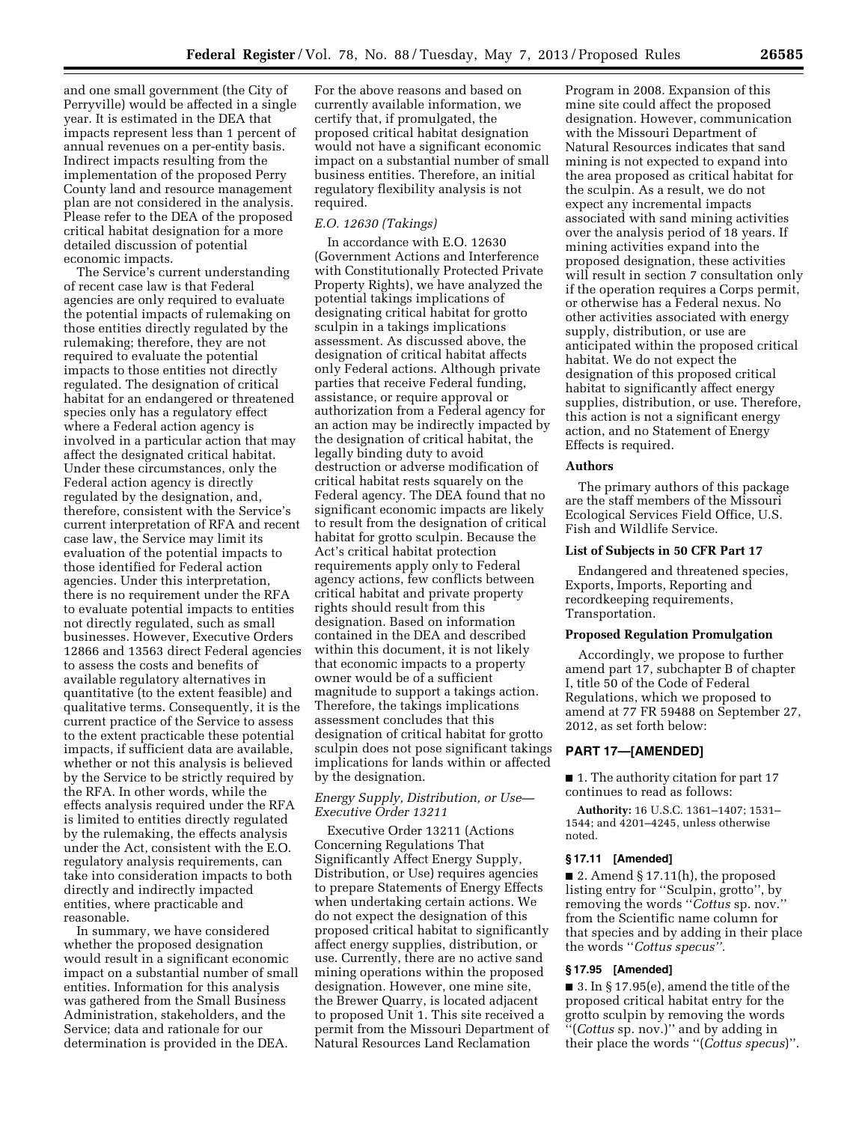and one small government (the City of Perryville) would be affected in a single year. It is estimated in the DEA that impacts represent less than 1 percent of annual revenues on a per-entity basis. Indirect impacts resulting from the implementation of the proposed Perry County land and resource management plan are not considered in the analysis. Please refer to the DEA of the proposed critical habitat designation for a more detailed discussion of potential economic impacts.

The Service's current understanding of recent case law is that Federal agencies are only required to evaluate the potential impacts of rulemaking on those entities directly regulated by the rulemaking; therefore, they are not required to evaluate the potential impacts to those entities not directly regulated. The designation of critical habitat for an endangered or threatened species only has a regulatory effect where a Federal action agency is involved in a particular action that may affect the designated critical habitat. Under these circumstances, only the Federal action agency is directly regulated by the designation, and, therefore, consistent with the Service's current interpretation of RFA and recent case law, the Service may limit its evaluation of the potential impacts to those identified for Federal action agencies. Under this interpretation, there is no requirement under the RFA to evaluate potential impacts to entities not directly regulated, such as small businesses. However, Executive Orders 12866 and 13563 direct Federal agencies to assess the costs and benefits of available regulatory alternatives in quantitative (to the extent feasible) and qualitative terms. Consequently, it is the current practice of the Service to assess to the extent practicable these potential impacts, if sufficient data are available, whether or not this analysis is believed by the Service to be strictly required by the RFA. In other words, while the effects analysis required under the RFA is limited to entities directly regulated by the rulemaking, the effects analysis under the Act, consistent with the E.O. regulatory analysis requirements, can take into consideration impacts to both directly and indirectly impacted entities, where practicable and reasonable.

In summary, we have considered whether the proposed designation would result in a significant economic impact on a substantial number of small entities. Information for this analysis was gathered from the Small Business Administration, stakeholders, and the Service; data and rationale for our determination is provided in the DEA.

For the above reasons and based on currently available information, we certify that, if promulgated, the proposed critical habitat designation would not have a significant economic impact on a substantial number of small business entities. Therefore, an initial regulatory flexibility analysis is not required.

## *E.O. 12630 (Takings)*

In accordance with E.O. 12630 (Government Actions and Interference with Constitutionally Protected Private Property Rights), we have analyzed the potential takings implications of designating critical habitat for grotto sculpin in a takings implications assessment. As discussed above, the designation of critical habitat affects only Federal actions. Although private parties that receive Federal funding, assistance, or require approval or authorization from a Federal agency for an action may be indirectly impacted by the designation of critical habitat, the legally binding duty to avoid destruction or adverse modification of critical habitat rests squarely on the Federal agency. The DEA found that no significant economic impacts are likely to result from the designation of critical habitat for grotto sculpin. Because the Act's critical habitat protection requirements apply only to Federal agency actions, few conflicts between critical habitat and private property rights should result from this designation. Based on information contained in the DEA and described within this document, it is not likely that economic impacts to a property owner would be of a sufficient magnitude to support a takings action. Therefore, the takings implications assessment concludes that this designation of critical habitat for grotto sculpin does not pose significant takings implications for lands within or affected by the designation.

## *Energy Supply, Distribution, or Use— Executive Order 13211*

Executive Order 13211 (Actions Concerning Regulations That Significantly Affect Energy Supply, Distribution, or Use) requires agencies to prepare Statements of Energy Effects when undertaking certain actions. We do not expect the designation of this proposed critical habitat to significantly affect energy supplies, distribution, or use. Currently, there are no active sand mining operations within the proposed designation. However, one mine site, the Brewer Quarry, is located adjacent to proposed Unit 1. This site received a permit from the Missouri Department of Natural Resources Land Reclamation

Program in 2008. Expansion of this mine site could affect the proposed designation. However, communication with the Missouri Department of Natural Resources indicates that sand mining is not expected to expand into the area proposed as critical habitat for the sculpin. As a result, we do not expect any incremental impacts associated with sand mining activities over the analysis period of 18 years. If mining activities expand into the proposed designation, these activities will result in section 7 consultation only if the operation requires a Corps permit, or otherwise has a Federal nexus. No other activities associated with energy supply, distribution, or use are anticipated within the proposed critical habitat. We do not expect the designation of this proposed critical habitat to significantly affect energy supplies, distribution, or use. Therefore, this action is not a significant energy action, and no Statement of Energy Effects is required.

### **Authors**

The primary authors of this package are the staff members of the Missouri Ecological Services Field Office, U.S. Fish and Wildlife Service.

### **List of Subjects in 50 CFR Part 17**

Endangered and threatened species, Exports, Imports, Reporting and recordkeeping requirements, Transportation.

#### **Proposed Regulation Promulgation**

Accordingly, we propose to further amend part 17, subchapter B of chapter I, title 50 of the Code of Federal Regulations, which we proposed to amend at 77 FR 59488 on September 27, 2012, as set forth below:

## **PART 17—[AMENDED]**

■ 1. The authority citation for part 17 continues to read as follows:

**Authority:** 16 U.S.C. 1361–1407; 1531– 1544; and 4201–4245, unless otherwise noted.

### **§ 17.11 [Amended]**

 $\blacksquare$  2. Amend § 17.11(h), the proposed listing entry for ''Sculpin, grotto'', by removing the words ''*Cottus* sp. nov.'' from the Scientific name column for that species and by adding in their place the words ''*Cottus specus''.* 

### **§ 17.95 [Amended]**

■ 3. In § 17.95(e), amend the title of the proposed critical habitat entry for the grotto sculpin by removing the words ''(*Cottus* sp. nov.)'' and by adding in their place the words ''(*Cottus specus*)''.